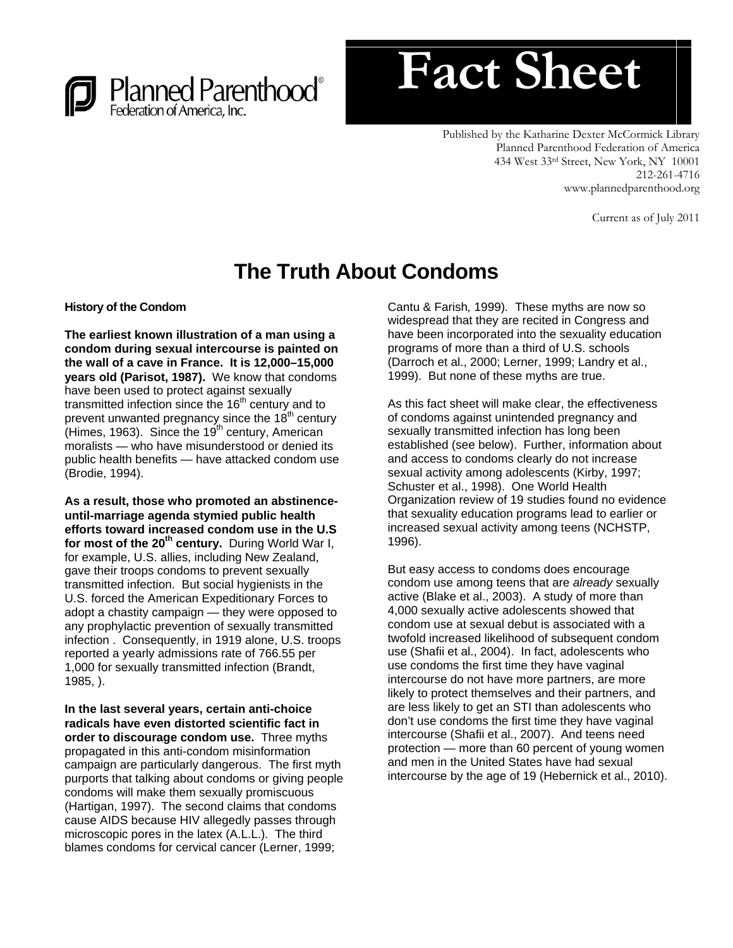



Published by the Katharine Dexter McCormick Library Planned Parenthood Federation of America 434 West 33rd Street, New York, NY 10001 212-261-4716 www.plannedparenthood.org

Current as of July 2011

# **The Truth About Condoms**

**History of the Condom** 

**The earliest known illustration of a man using a condom during sexual intercourse is painted on the wall of a cave in France. It is 12,000–15,000 years old (Parisot, 1987).** We know that condoms have been used to protect against sexually transmitted infection since the  $16<sup>th</sup>$  century and to prevent unwanted pregnancy since the  $18<sup>th</sup>$  century (Himes, 1963). Since the  $19<sup>th</sup>$  century, American moralists — who have misunderstood or denied its public health benefits — have attacked condom use (Brodie, 1994).

**As a result, those who promoted an abstinenceuntil-marriage agenda stymied public health efforts toward increased condom use in the U.S for most of the 20th century.** During World War I, for example, U.S. allies, including New Zealand, gave their troops condoms to prevent sexually transmitted infection. But social hygienists in the U.S. forced the American Expeditionary Forces to adopt a chastity campaign — they were opposed to any prophylactic prevention of sexually transmitted infection . Consequently, in 1919 alone, U.S. troops reported a yearly admissions rate of 766.55 per 1,000 for sexually transmitted infection (Brandt, 1985, ).

**In the last several years, certain anti-choice radicals have even distorted scientific fact in order to discourage condom use.** Three myths propagated in this anti-condom misinformation campaign are particularly dangerous. The first myth purports that talking about condoms or giving people condoms will make them sexually promiscuous (Hartigan, 1997). The second claims that condoms cause AIDS because HIV allegedly passes through microscopic pores in the latex (A.L.L.)*.* The third blames condoms for cervical cancer (Lerner, 1999;

Cantu & Farish*,* 1999)*.* These myths are now so widespread that they are recited in Congress and have been incorporated into the sexuality education programs of more than a third of U.S. schools (Darroch et al., 2000; Lerner, 1999; Landry et al., 1999). But none of these myths are true.

As this fact sheet will make clear, the effectiveness of condoms against unintended pregnancy and sexually transmitted infection has long been established (see below). Further, information about and access to condoms clearly do not increase sexual activity among adolescents (Kirby, 1997; Schuster et al., 1998). One World Health Organization review of 19 studies found no evidence that sexuality education programs lead to earlier or increased sexual activity among teens (NCHSTP, 1996).

But easy access to condoms does encourage condom use among teens that are *already* sexually active (Blake et al., 2003). A study of more than 4,000 sexually active adolescents showed that condom use at sexual debut is associated with a twofold increased likelihood of subsequent condom use (Shafii et al., 2004). In fact, adolescents who use condoms the first time they have vaginal intercourse do not have more partners, are more likely to protect themselves and their partners, and are less likely to get an STI than adolescents who don't use condoms the first time they have vaginal intercourse (Shafii et al., 2007). And teens need protection — more than 60 percent of young women and men in the United States have had sexual intercourse by the age of 19 (Hebernick et al., 2010).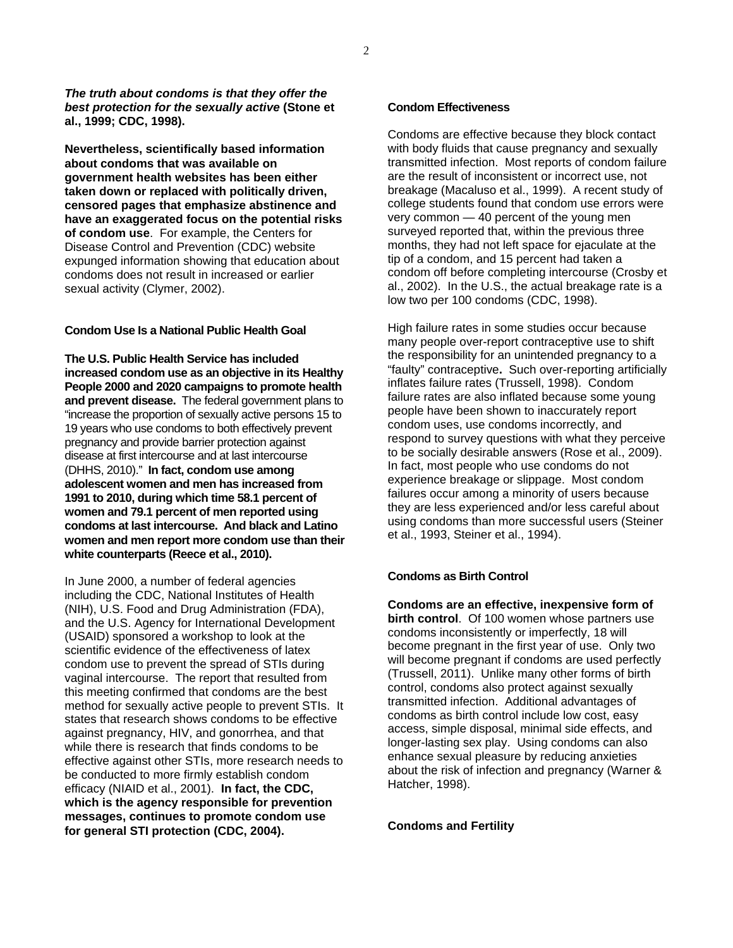*The truth about condoms is that they offer the best protection for the sexually active* **(Stone et al., 1999; CDC, 1998).** 

**Nevertheless, scientifically based information about condoms that was available on government health websites has been either taken down or replaced with politically driven, censored pages that emphasize abstinence and have an exaggerated focus on the potential risks of condom use**. For example, the Centers for Disease Control and Prevention (CDC) website expunged information showing that education about condoms does not result in increased or earlier sexual activity (Clymer, 2002).

## **Condom Use Is a National Public Health Goal**

**The U.S. Public Health Service has included increased condom use as an objective in its Healthy People 2000 and 2020 campaigns to promote health and prevent disease.** The federal government plans to "increase the proportion of sexually active persons 15 to 19 years who use condoms to both effectively prevent pregnancy and provide barrier protection against disease at first intercourse and at last intercourse (DHHS, 2010)." **In fact, condom use among adolescent women and men has increased from 1991 to 2010, during which time 58.1 percent of women and 79.1 percent of men reported using condoms at last intercourse. And black and Latino women and men report more condom use than their white counterparts (Reece et al., 2010).** 

In June 2000, a number of federal agencies including the CDC, National Institutes of Health (NIH), U.S. Food and Drug Administration (FDA), and the U.S. Agency for International Development (USAID) sponsored a workshop to look at the scientific evidence of the effectiveness of latex condom use to prevent the spread of STIs during vaginal intercourse. The report that resulted from this meeting confirmed that condoms are the best method for sexually active people to prevent STIs. It states that research shows condoms to be effective against pregnancy, HIV, and gonorrhea, and that while there is research that finds condoms to be effective against other STIs, more research needs to be conducted to more firmly establish condom efficacy (NIAID et al., 2001). **In fact, the CDC, which is the agency responsible for prevention messages, continues to promote condom use for general STI protection (CDC, 2004).** 

### **Condom Effectiveness**

Condoms are effective because they block contact with body fluids that cause pregnancy and sexually transmitted infection. Most reports of condom failure are the result of inconsistent or incorrect use, not breakage (Macaluso et al., 1999). A recent study of college students found that condom use errors were very common — 40 percent of the young men surveyed reported that, within the previous three months, they had not left space for ejaculate at the tip of a condom, and 15 percent had taken a condom off before completing intercourse (Crosby et al., 2002). In the U.S., the actual breakage rate is a low two per 100 condoms (CDC, 1998).

High failure rates in some studies occur because many people over-report contraceptive use to shift the responsibility for an unintended pregnancy to a "faulty" contraceptive**.** Such over-reporting artificially inflates failure rates (Trussell, 1998). Condom failure rates are also inflated because some young people have been shown to inaccurately report condom uses, use condoms incorrectly, and respond to survey questions with what they perceive to be socially desirable answers (Rose et al., 2009). In fact, most people who use condoms do not experience breakage or slippage. Most condom failures occur among a minority of users because they are less experienced and/or less careful about using condoms than more successful users (Steiner et al., 1993, Steiner et al., 1994).

### **Condoms as Birth Control**

**Condoms are an effective, inexpensive form of birth control**. Of 100 women whose partners use condoms inconsistently or imperfectly, 18 will become pregnant in the first year of use. Only two will become pregnant if condoms are used perfectly (Trussell, 2011). Unlike many other forms of birth control, condoms also protect against sexually transmitted infection. Additional advantages of condoms as birth control include low cost, easy access, simple disposal, minimal side effects, and longer-lasting sex play. Using condoms can also enhance sexual pleasure by reducing anxieties about the risk of infection and pregnancy (Warner & Hatcher, 1998).

**Condoms and Fertility**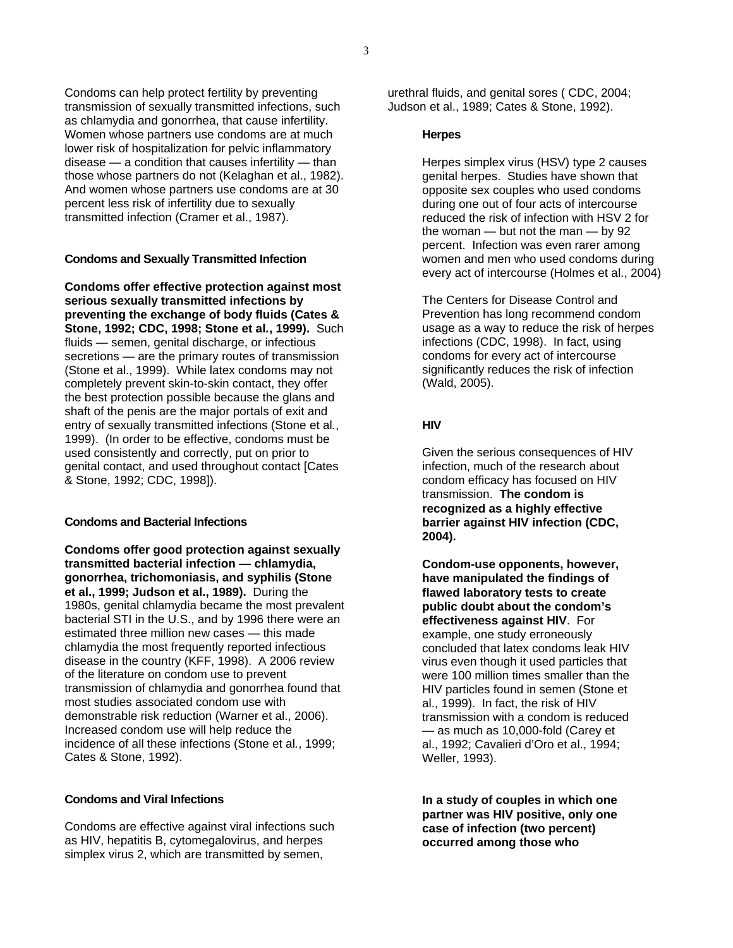Condoms can help protect fertility by preventing transmission of sexually transmitted infections, such as chlamydia and gonorrhea, that cause infertility. Women whose partners use condoms are at much lower risk of hospitalization for pelvic inflammatory disease — a condition that causes infertility — than those whose partners do not (Kelaghan et al., 1982). And women whose partners use condoms are at 30 percent less risk of infertility due to sexually transmitted infection (Cramer et al., 1987).

#### **Condoms and Sexually Transmitted Infection**

**Condoms offer effective protection against most serious sexually transmitted infections by preventing the exchange of body fluids (Cates & Stone, 1992; CDC, 1998; Stone et al***.***, 1999).** Such fluids — semen, genital discharge, or infectious secretions — are the primary routes of transmission (Stone et al., 1999). While latex condoms may not completely prevent skin-to-skin contact, they offer the best protection possible because the glans and shaft of the penis are the major portals of exit and entry of sexually transmitted infections (Stone et al*.*, 1999). (In order to be effective, condoms must be used consistently and correctly, put on prior to genital contact, and used throughout contact [Cates & Stone, 1992; CDC, 1998]).

#### **Condoms and Bacterial Infections**

**Condoms offer good protection against sexually transmitted bacterial infection — chlamydia, gonorrhea, trichomoniasis, and syphilis (Stone et al., 1999; Judson et al., 1989).** During the 1980s, genital chlamydia became the most prevalent bacterial STI in the U.S., and by 1996 there were an estimated three million new cases — this made chlamydia the most frequently reported infectious disease in the country (KFF, 1998). A 2006 review of the literature on condom use to prevent transmission of chlamydia and gonorrhea found that most studies associated condom use with demonstrable risk reduction (Warner et al., 2006). Increased condom use will help reduce the incidence of all these infections (Stone et al*.*, 1999; Cates & Stone, 1992).

#### **Condoms and Viral Infections**

Condoms are effective against viral infections such as HIV, hepatitis B, cytomegalovirus, and herpes simplex virus 2, which are transmitted by semen,

urethral fluids, and genital sores ( CDC, 2004; Judson et al., 1989; Cates & Stone, 1992).

#### **Herpes**

Herpes simplex virus (HSV) type 2 causes genital herpes. Studies have shown that opposite sex couples who used condoms during one out of four acts of intercourse reduced the risk of infection with HSV 2 for the woman  $-$  but not the man  $-$  by 92 percent. Infection was even rarer among women and men who used condoms during every act of intercourse (Holmes et al., 2004)

The Centers for Disease Control and Prevention has long recommend condom usage as a way to reduce the risk of herpes infections (CDC, 1998). In fact, using condoms for every act of intercourse significantly reduces the risk of infection (Wald, 2005).

#### **HIV**

Given the serious consequences of HIV infection, much of the research about condom efficacy has focused on HIV transmission. **The condom is recognized as a highly effective barrier against HIV infection (CDC, 2004).** 

**Condom-use opponents, however, have manipulated the findings of flawed laboratory tests to create public doubt about the condom's effectiveness against HIV**. For example, one study erroneously concluded that latex condoms leak HIV virus even though it used particles that were 100 million times smaller than the HIV particles found in semen (Stone et al., 1999). In fact, the risk of HIV transmission with a condom is reduced — as much as 10,000-fold (Carey et al., 1992; Cavalieri d'Oro et al., 1994; Weller, 1993).

**In a study of couples in which one partner was HIV positive, only one case of infection (two percent) occurred among those who**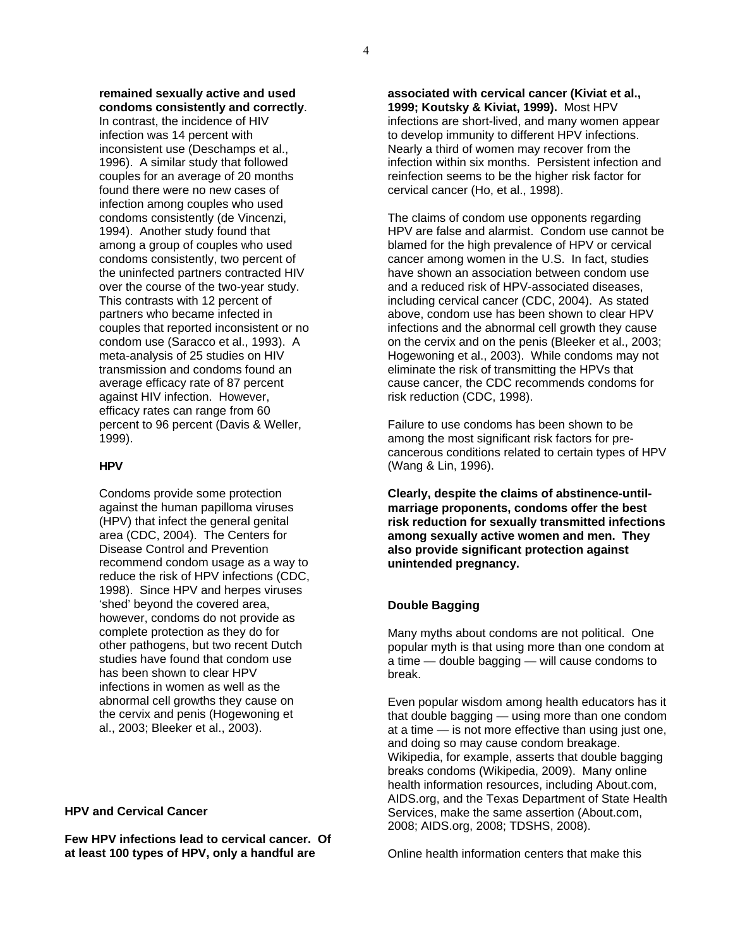**remained sexually active and used condoms consistently and correctly**.

In contrast, the incidence of HIV infection was 14 percent with inconsistent use (Deschamps et al., 1996). A similar study that followed couples for an average of 20 months found there were no new cases of infection among couples who used condoms consistently (de Vincenzi, 1994). Another study found that among a group of couples who used condoms consistently, two percent of the uninfected partners contracted HIV over the course of the two-year study. This contrasts with 12 percent of partners who became infected in couples that reported inconsistent or no condom use (Saracco et al., 1993). A meta-analysis of 25 studies on HIV transmission and condoms found an average efficacy rate of 87 percent against HIV infection. However, efficacy rates can range from 60 percent to 96 percent (Davis & Weller, 1999).

## **HPV**

Condoms provide some protection against the human papilloma viruses (HPV) that infect the general genital area (CDC, 2004). The Centers for Disease Control and Prevention recommend condom usage as a way to reduce the risk of HPV infections (CDC, 1998). Since HPV and herpes viruses 'shed' beyond the covered area, however, condoms do not provide as complete protection as they do for other pathogens, but two recent Dutch studies have found that condom use has been shown to clear HPV infections in women as well as the abnormal cell growths they cause on the cervix and penis (Hogewoning et al., 2003; Bleeker et al., 2003).

**HPV and Cervical Cancer** 

**Few HPV infections lead to cervical cancer. Of at least 100 types of HPV, only a handful are** 

**1999; Koutsky & Kiviat, 1999).** Most HPV infections are short-lived, and many women appear to develop immunity to different HPV infections. Nearly a third of women may recover from the infection within six months. Persistent infection and reinfection seems to be the higher risk factor for cervical cancer (Ho, et al., 1998).

The claims of condom use opponents regarding HPV are false and alarmist. Condom use cannot be blamed for the high prevalence of HPV or cervical cancer among women in the U.S. In fact, studies have shown an association between condom use and a reduced risk of HPV-associated diseases, including cervical cancer (CDC, 2004). As stated above, condom use has been shown to clear HPV infections and the abnormal cell growth they cause on the cervix and on the penis (Bleeker et al., 2003; Hogewoning et al., 2003). While condoms may not eliminate the risk of transmitting the HPVs that cause cancer, the CDC recommends condoms for risk reduction (CDC, 1998).

Failure to use condoms has been shown to be among the most significant risk factors for precancerous conditions related to certain types of HPV (Wang & Lin, 1996).

**Clearly, despite the claims of abstinence-untilmarriage proponents, condoms offer the best risk reduction for sexually transmitted infections among sexually active women and men. They also provide significant protection against unintended pregnancy.** 

## **Double Bagging**

Many myths about condoms are not political. One popular myth is that using more than one condom at a time — double bagging — will cause condoms to break.

Even popular wisdom among health educators has it that double bagging — using more than one condom at a time — is not more effective than using just one, and doing so may cause condom breakage. Wikipedia, for example, asserts that double bagging breaks condoms (Wikipedia, 2009). Many online health information resources, including About.com, AIDS.org, and the Texas Department of State Health Services, make the same assertion (About.com, 2008; AIDS.org, 2008; TDSHS, 2008).

Online health information centers that make this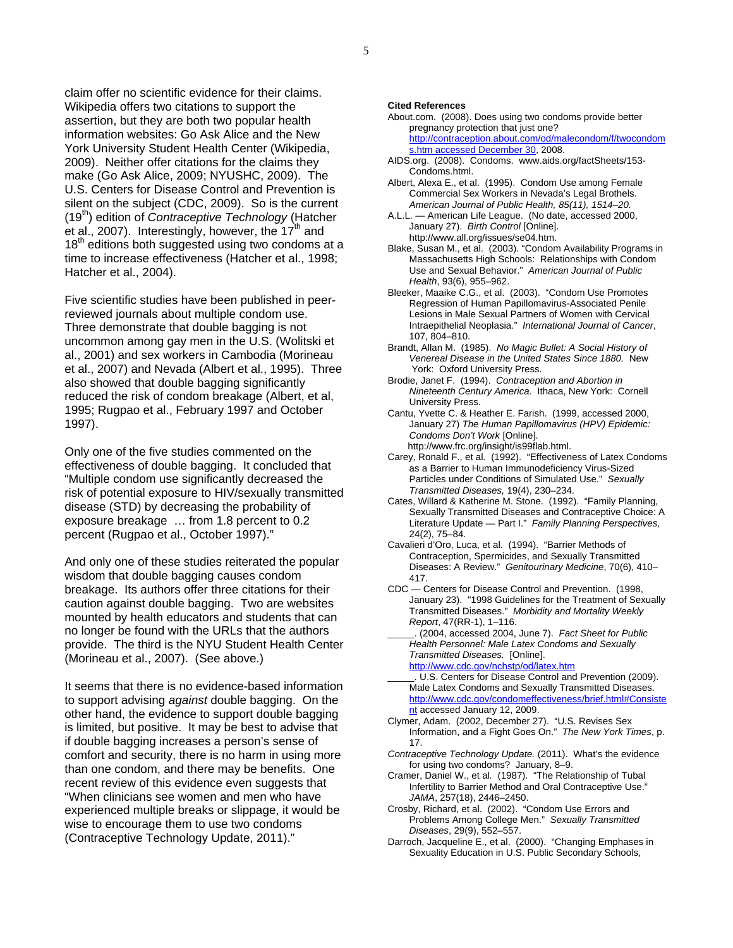claim offer no scientific evidence for their claims. Wikipedia offers two citations to support the assertion, but they are both two popular health information websites: Go Ask Alice and the New York University Student Health Center (Wikipedia, 2009). Neither offer citations for the claims they make (Go Ask Alice, 2009; NYUSHC, 2009). The U.S. Centers for Disease Control and Prevention is silent on the subject (CDC, 2009). So is the current (19th) edition of *Contraceptive Technology* (Hatcher et al., 2007). Interestingly, however, the  $17<sup>th</sup>$  and  $18<sup>th</sup>$  editions both suggested using two condoms at a time to increase effectiveness (Hatcher et al., 1998; Hatcher et al., 2004).

Five scientific studies have been published in peerreviewed journals about multiple condom use. Three demonstrate that double bagging is not uncommon among gay men in the U.S. (Wolitski et al., 2001) and sex workers in Cambodia (Morineau et al., 2007) and Nevada (Albert et al., 1995). Three also showed that double bagging significantly reduced the risk of condom breakage (Albert, et al, 1995; Rugpao et al., February 1997 and October 1997).

Only one of the five studies commented on the effectiveness of double bagging. It concluded that "Multiple condom use significantly decreased the risk of potential exposure to HIV/sexually transmitted disease (STD) by decreasing the probability of exposure breakage … from 1.8 percent to 0.2 percent (Rugpao et al., October 1997)."

And only one of these studies reiterated the popular wisdom that double bagging causes condom breakage. Its authors offer three citations for their caution against double bagging. Two are websites mounted by health educators and students that can no longer be found with the URLs that the authors provide. The third is the NYU Student Health Center (Morineau et al., 2007). (See above.)

It seems that there is no evidence-based information to support advising *against* double bagging. On the other hand, the evidence to support double bagging is limited, but positive. It may be best to advise that if double bagging increases a person's sense of comfort and security, there is no harm in using more than one condom, and there may be benefits. One recent review of this evidence even suggests that "When clinicians see women and men who have experienced multiple breaks or slippage, it would be wise to encourage them to use two condoms (Contraceptive Technology Update, 2011)."

#### **Cited References**

- About.com. (2008). Does using two condoms provide better pregnancy protection that just one? http://contraception.about.com/od/malecondom/f/twocondom s.htm accessed December 30, 2008.
- AIDS.org. (2008). Condoms. www.aids.org/factSheets/153- Condoms.html.
- Albert, Alexa E., et al. (1995). Condom Use among Female Commercial Sex Workers in Nevada's Legal Brothels. *American Journal of Public Health, 85(11), 1514–20.*
- A.L.L. American Life League. (No date, accessed 2000, January 27). *Birth Control* [Online]. http://www.all.org/issues/se04.htm.
- Blake, Susan M., et al. (2003). "Condom Availability Programs in Massachusetts High Schools: Relationships with Condom Use and Sexual Behavior." *American Journal of Public Health*, 93(6), 955–962.
- Bleeker, Maaike C.G., et al. (2003). "Condom Use Promotes Regression of Human Papillomavirus-Associated Penile Lesions in Male Sexual Partners of Women with Cervical Intraepithelial Neoplasia." *International Journal of Cancer*, 107, 804–810.
- Brandt, Allan M. (1985). *No Magic Bullet: A Social History of Venereal Disease in the United States Since 1880.* New York: Oxford University Press.
- Brodie, Janet F. (1994). *Contraception and Abortion in Nineteenth Century America.* Ithaca, New York: Cornell University Press.
- Cantu, Yvette C. & Heather E. Farish. (1999, accessed 2000, January 27) *The Human Papillomavirus (HPV) Epidemic: Condoms Don't Work* [Online]. http://www.frc.org/insight/is99flab.html.
- Carey, Ronald F., et al*.* (1992). "Effectiveness of Latex Condoms as a Barrier to Human Immunodeficiency Virus-Sized Particles under Conditions of Simulated Use." *Sexually Transmitted Diseases,* 19(4), 230–234.
- Cates, Willard & Katherine M. Stone. (1992). "Family Planning, Sexually Transmitted Diseases and Contraceptive Choice: A Literature Update — Part I." *Family Planning Perspectives,*  24(2), 75–84.
- Cavalieri d'Oro, Luca, et al*.* (1994). "Barrier Methods of Contraception, Spermicides, and Sexually Transmitted Diseases: A Review." *Genitourinary Medicine*, 70(6), 410– 417.
- CDC Centers for Disease Control and Prevention. (1998, January 23). "1998 Guidelines for the Treatment of Sexually Transmitted Diseases." *Morbidity and Mortality Weekly Report*, 47(RR-1), 1–116.
- \_\_\_\_\_. (2004, accessed 2004, June 7). *Fact Sheet for Public Health Personnel: Male Latex Condoms and Sexually Transmitted Diseases.* [Online].
- http://www.cdc.gov/nchstp/od/latex.htm U.S. Centers for Disease Control and Prevention (2009). Male Latex Condoms and Sexually Transmitted Diseases. http://www.cdc.gov/condomeffectiveness/brief.html#Consiste nt accessed January 12, 2009.
- Clymer, Adam. (2002, December 27). "U.S. Revises Sex Information, and a Fight Goes On." *The New York Times*, p. 17.
- *Contraceptive Technology Update.* (2011). What's the evidence for using two condoms? January, 8–9.
- Cramer, Daniel W., et al*.* (1987). "The Relationship of Tubal Infertility to Barrier Method and Oral Contraceptive Use." *JAMA*, 257(18), 2446–2450.
- Crosby, Richard, et al. (2002). "Condom Use Errors and Problems Among College Men." *Sexually Transmitted Diseases*, 29(9), 552–557.
- Darroch, Jacqueline E., et al. (2000). "Changing Emphases in Sexuality Education in U.S. Public Secondary Schools,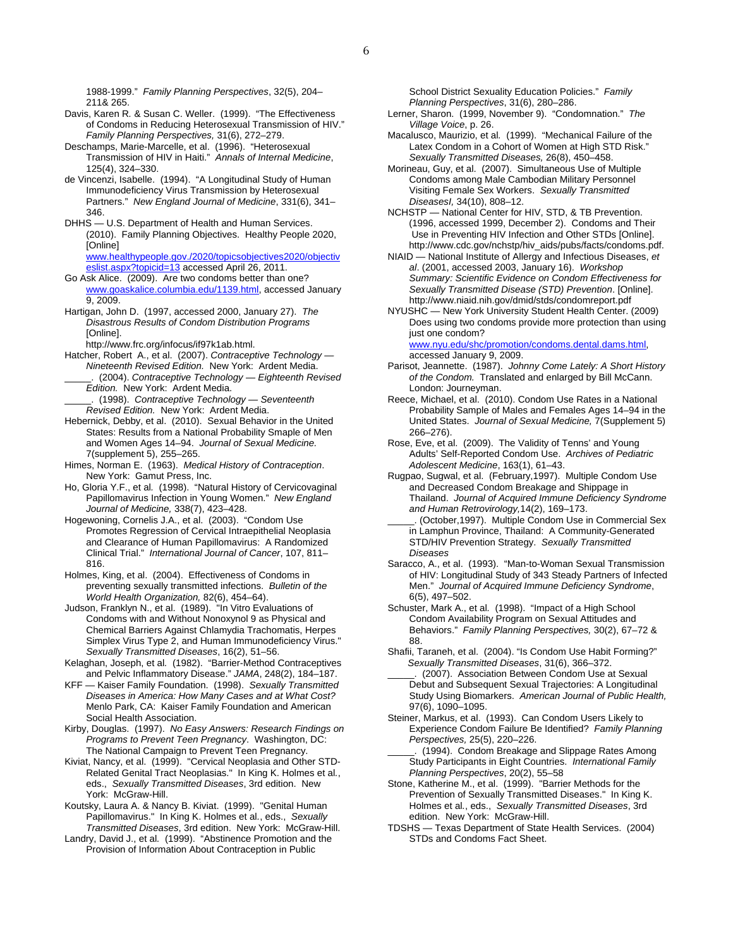1988-1999." *Family Planning Perspectives*, 32(5), 204– 211& 265.

Davis, Karen R*.* & Susan C. Weller. (1999). "The Effectiveness of Condoms in Reducing Heterosexual Transmission of HIV." *Family Planning Perspectives,* 31(6), 272–279.

Deschamps, Marie-Marcelle, et al. (1996). "Heterosexual Transmission of HIV in Haiti." *Annals of Internal Medicine*, 125(4), 324–330.

- de Vincenzi, Isabelle. (1994). "A Longitudinal Study of Human Immunodeficiency Virus Transmission by Heterosexual Partners." *New England Journal of Medicine*, 331(6), 341– 346.
- DHHS U.S. Department of Health and Human Services. (2010). Family Planning Objectives. Healthy People 2020, [Online] www.healthypeople.gov./2020/topicsobjectives2020/objectiv
- eslist.aspx?topicid=13 accessed April 26, 2011. Go Ask Alice. (2009). Are two condoms better than one? www.goaskalice.columbia.edu/1139.html, accessed January 9, 2009.
- Hartigan, John D. (1997, accessed 2000, January 27). *The Disastrous Results of Condom Distribution Programs*  [Online].

http://www.frc.org/infocus/if97k1ab.html.

- Hatcher, Robert A., et al. (2007). *Contraceptive Technology Nineteenth Revised Edition.* New York: Ardent Media. \_\_\_\_\_. (2004). *Contraceptive Technology — Eighteenth Revised*
- *Edition.* New York: Ardent Media. \_\_\_\_\_. (1998). *Contraceptive Technology — Seventeenth*
- *Revised Edition.* New York: Ardent Media.
- Hebernick, Debby, et al. (2010). Sexual Behavior in the United States: Results from a National Probability Smaple of Men and Women Ages 14–94. *Journal of Sexual Medicine.*  7(supplement 5), 255–265.
- Himes, Norman E. (1963). *Medical History of Contraception*. New York: Gamut Press, Inc.
- Ho, Gloria Y.F., et al*.* (1998). "Natural History of Cervicovaginal Papillomavirus Infection in Young Women." *New England Journal of Medicine,* 338(7), 423–428.
- Hogewoning, Cornelis J.A., et al. (2003). "Condom Use Promotes Regression of Cervical Intraepithelial Neoplasia and Clearance of Human Papillomavirus: A Randomized Clinical Trial." *International Journal of Cancer*, 107, 811– 816.
- Holmes, King, et al. (2004). Effectiveness of Condoms in preventing sexually transmitted infections. *Bulletin of the World Health Organization,* 82(6), 454–64).
- Judson, Franklyn N., et al. (1989). "In Vitro Evaluations of Condoms with and Without Nonoxynol 9 as Physical and Chemical Barriers Against Chlamydia Trachomatis, Herpes Simplex Virus Type 2, and Human Immunodeficiency Virus." *Sexually Transmitted Diseases*, 16(2), 51–56.
- Kelaghan, Joseph, et al*.* (1982). "Barrier-Method Contraceptives and Pelvic Inflammatory Disease." *JAMA*, 248(2), 184–187.
- KFF Kaiser Family Foundation. (1998). *Sexually Transmitted Diseases in America: How Many Cases and at What Cost?* Menlo Park, CA: Kaiser Family Foundation and American Social Health Association.

Kirby, Douglas. (1997). *No Easy Answers: Research Findings on Programs to Prevent Teen Pregnancy*. Washington, DC: The National Campaign to Prevent Teen Pregnancy.

- Kiviat, Nancy, et al. (1999). "Cervical Neoplasia and Other STD-Related Genital Tract Neoplasias." In King K. Holmes et al*.*, eds., *Sexually Transmitted Diseases*, 3rd edition. New York: McGraw-Hill.
- Koutsky, Laura A. & Nancy B. Kiviat. (1999). "Genital Human Papillomavirus." In King K. Holmes et al*.*, eds., *Sexually Transmitted Diseases*, 3rd edition. New York: McGraw-Hill.
- Landry, David J., et al*.* (1999). "Abstinence Promotion and the Provision of Information About Contraception in Public

School District Sexuality Education Policies." *Family Planning Perspectives*, 31(6), 280–286.

- Lerner, Sharon. (1999, November 9). "Condomnation." *The Village Voice*, p. 26.
- Macalusco, Maurizio, et al*.* (1999). "Mechanical Failure of the Latex Condom in a Cohort of Women at High STD Risk." *Sexually Transmitted Diseases,* 26(8), 450–458.
- Morineau, Guy, et al. (2007). Simultaneous Use of Multiple Condoms among Male Cambodian Military Personnel Visiting Female Sex Workers. *Sexually Transmitted DiseasesI,* 34(10), 808–12.
- NCHSTP National Center for HIV, STD, & TB Prevention. (1996, accessed 1999, December 2). Condoms and Their Use in Preventing HIV Infection and Other STDs [Online]. http://www.cdc.gov/nchstp/hiv\_aids/pubs/facts/condoms.pdf.
- NIAID National Institute of Allergy and Infectious Diseases, *et al*. (2001, accessed 2003, January 16). *Workshop Summary: Scientific Evidence on Condom Effectiveness for Sexually Transmitted Disease (STD) Prevention*. [Online]. http://www.niaid.nih.gov/dmid/stds/condomreport.pdf
- NYUSHC New York University Student Health Center. (2009) Does using two condoms provide more protection than using just one condom? www.nyu.edu/shc/promotion/condoms.dental.dams.html,

accessed January 9, 2009.

- Parisot, Jeannette. (1987). *Johnny Come Lately: A Short History of the Condom.* Translated and enlarged by Bill McCann. London: Journeyman.
- Reece, Michael, et al. (2010). Condom Use Rates in a National Probability Sample of Males and Females Ages 14–94 in the United States. *Journal of Sexual Medicine,* 7(Supplement 5) 266–276).
- Rose, Eve, et al. (2009). The Validity of Tenns' and Young Adults' Self-Reported Condom Use. *Archives of Pediatric Adolescent Medicine*, 163(1), 61–43.
- Rugpao, Sugwal, et al. (February,1997). Multiple Condom Use and Decreased Condom Breakage and Shippage in Thailand. *Journal of Acquired Immune Deficiency Syndrome and Human Retrovirology,*14(2), 169–173.
- (October,1997). Multiple Condom Use in Commercial Sex in Lamphun Province, Thailand: A Community-Generated STD/HIV Prevention Strategy. *Sexually Transmitted Diseases*
- Saracco, A., et al. (1993). "Man-to-Woman Sexual Transmission of HIV: Longitudinal Study of 343 Steady Partners of Infected Men." *Journal of Acquired Immune Deficiency Syndrome*, 6(5), 497–502.
- Schuster, Mark A., et al*.* (1998). "Impact of a High School Condom Availability Program on Sexual Attitudes and Behaviors." *Family Planning Perspectives,* 30(2), 67–72 & 88.
- Shafii, Taraneh, et al. (2004). "Is Condom Use Habit Forming?" *Sexually Transmitted Diseases*, 31(6), 366–372.
- (2007). Association Between Condom Use at Sexual Debut and Subsequent Sexual Trajectories: A Longitudinal Study Using Biomarkers. *American Journal of Public Health,*  97(6), 1090–1095.
- Steiner, Markus, et al. (1993). Can Condom Users Likely to Experience Condom Failure Be Identified? *Family Planning Perspectives,* 25(5), 220–226.
- (1994). Condom Breakage and Slippage Rates Among Study Participants in Eight Countries. *International Family Planning Perspectives*, 20(2), 55–58
- Stone, Katherine M., et al. (1999). "Barrier Methods for the Prevention of Sexually Transmitted Diseases." In King K. Holmes et al*.*, eds., *Sexually Transmitted Diseases*, 3rd edition. New York: McGraw-Hill.
- TDSHS Texas Department of State Health Services. (2004) STDs and Condoms Fact Sheet.